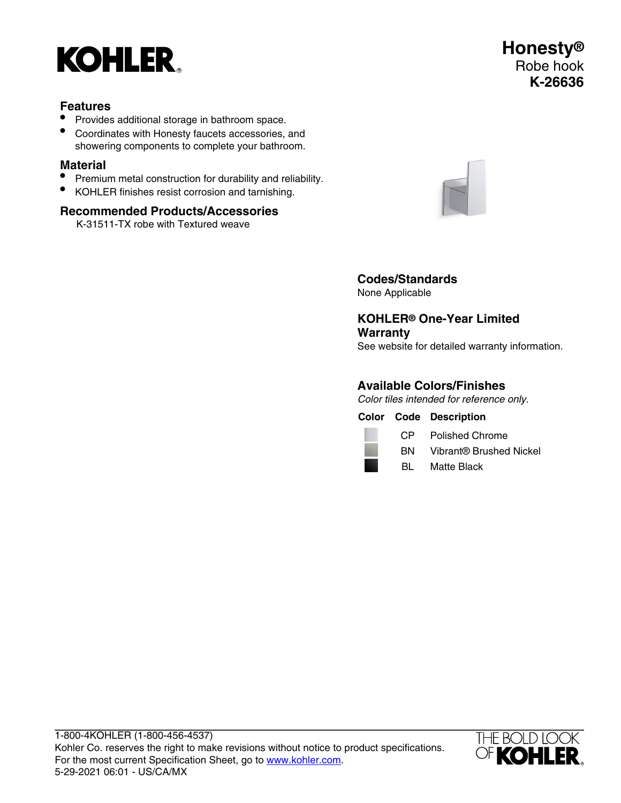

### **Features**

- Provides additional storage in bathroom space.
- Coordinates with Honesty faucets accessories, and showering components to complete your bathroom.

# **Material**

- Premium metal construction for durability and reliability.
- KOHLER finishes resist corrosion and tarnishing.

#### **Recommended Products/Accessories**

K-31511-TX robe with Textured weave



**Codes/Standards** None Applicable

**KOHLER® One-Year Limited Warranty** See website for detailed warranty information.

#### **Available Colors/Finishes**

Color tiles intended for reference only.

**Color Code Description**



CP Polished Chrome

BN Vibrant® Brushed Nickel

BL Matte Black